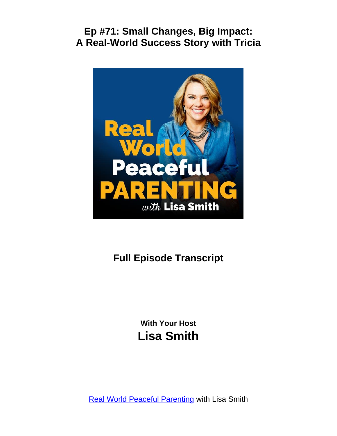

# **Full Episode Transcript**

**With Your Host Lisa Smith**

**[Real World Peaceful Parenting](https://thepeacefulparent.com/podcast) with Lisa Smith**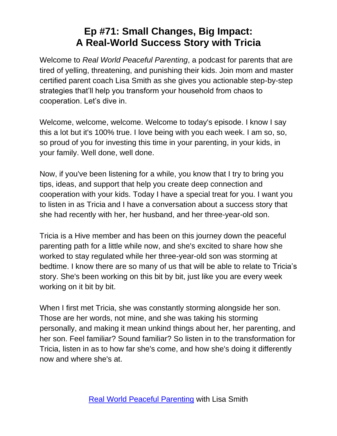Welcome to *Real World Peaceful Parenting*, a podcast for parents that are tired of yelling, threatening, and punishing their kids. Join mom and master certified parent coach Lisa Smith as she gives you actionable step-by-step strategies that'll help you transform your household from chaos to cooperation. Let's dive in.

Welcome, welcome, welcome. Welcome to today's episode. I know I say this a lot but it's 100% true. I love being with you each week. I am so, so, so proud of you for investing this time in your parenting, in your kids, in your family. Well done, well done.

Now, if you've been listening for a while, you know that I try to bring you tips, ideas, and support that help you create deep connection and cooperation with your kids. Today I have a special treat for you. I want you to listen in as Tricia and I have a conversation about a success story that she had recently with her, her husband, and her three-year-old son.

Tricia is a Hive member and has been on this journey down the peaceful parenting path for a little while now, and she's excited to share how she worked to stay regulated while her three-year-old son was storming at bedtime. I know there are so many of us that will be able to relate to Tricia's story. She's been working on this bit by bit, just like you are every week working on it bit by bit.

When I first met Tricia, she was constantly storming alongside her son. Those are her words, not mine, and she was taking his storming personally, and making it mean unkind things about her, her parenting, and her son. Feel familiar? Sound familiar? So listen in to the transformation for Tricia, listen in as to how far she's come, and how she's doing it differently now and where she's at.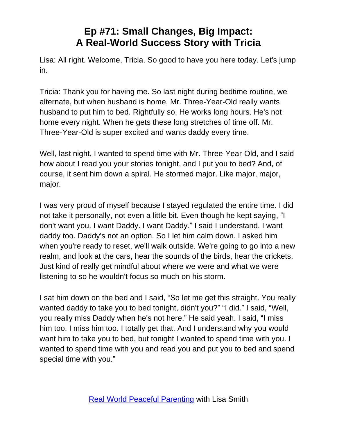Lisa: All right. Welcome, Tricia. So good to have you here today. Let's jump in.

Tricia: Thank you for having me. So last night during bedtime routine, we alternate, but when husband is home, Mr. Three-Year-Old really wants husband to put him to bed. Rightfully so. He works long hours. He's not home every night. When he gets these long stretches of time off. Mr. Three-Year-Old is super excited and wants daddy every time.

Well, last night, I wanted to spend time with Mr. Three-Year-Old, and I said how about I read you your stories tonight, and I put you to bed? And, of course, it sent him down a spiral. He stormed major. Like major, major, major.

I was very proud of myself because I stayed regulated the entire time. I did not take it personally, not even a little bit. Even though he kept saying, "I don't want you. I want Daddy. I want Daddy." I said I understand. I want daddy too. Daddy's not an option. So I let him calm down. I asked him when you're ready to reset, we'll walk outside. We're going to go into a new realm, and look at the cars, hear the sounds of the birds, hear the crickets. Just kind of really get mindful about where we were and what we were listening to so he wouldn't focus so much on his storm.

I sat him down on the bed and I said, "So let me get this straight. You really wanted daddy to take you to bed tonight, didn't you?" "I did." I said, "Well, you really miss Daddy when he's not here." He said yeah. I said, "I miss him too. I miss him too. I totally get that. And I understand why you would want him to take you to bed, but tonight I wanted to spend time with you. I wanted to spend time with you and read you and put you to bed and spend special time with you."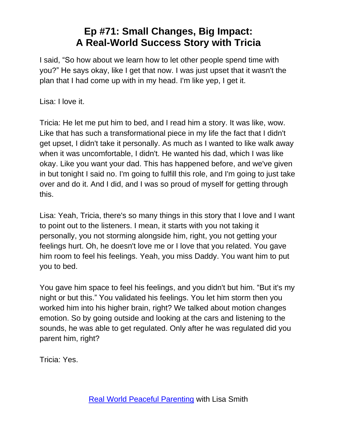I said, "So how about we learn how to let other people spend time with you?" He says okay, like I get that now. I was just upset that it wasn't the plan that I had come up with in my head. I'm like yep, I get it.

Lisa: I love it.

Tricia: He let me put him to bed, and I read him a story. It was like, wow. Like that has such a transformational piece in my life the fact that I didn't get upset, I didn't take it personally. As much as I wanted to like walk away when it was uncomfortable, I didn't. He wanted his dad, which I was like okay. Like you want your dad. This has happened before, and we've given in but tonight I said no. I'm going to fulfill this role, and I'm going to just take over and do it. And I did, and I was so proud of myself for getting through this.

Lisa: Yeah, Tricia, there's so many things in this story that I love and I want to point out to the listeners. I mean, it starts with you not taking it personally, you not storming alongside him, right, you not getting your feelings hurt. Oh, he doesn't love me or I love that you related. You gave him room to feel his feelings. Yeah, you miss Daddy. You want him to put you to bed.

You gave him space to feel his feelings, and you didn't but him. "But it's my night or but this." You validated his feelings. You let him storm then you worked him into his higher brain, right? We talked about motion changes emotion. So by going outside and looking at the cars and listening to the sounds, he was able to get regulated. Only after he was regulated did you parent him, right?

Tricia: Yes.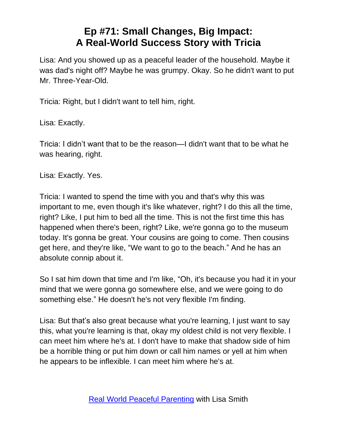Lisa: And you showed up as a peaceful leader of the household. Maybe it was dad's night off? Maybe he was grumpy. Okay. So he didn't want to put Mr. Three-Year-Old.

Tricia: Right, but I didn't want to tell him, right.

Lisa: Exactly.

Tricia: I didn't want that to be the reason—I didn't want that to be what he was hearing, right.

Lisa: Exactly. Yes.

Tricia: I wanted to spend the time with you and that's why this was important to me, even though it's like whatever, right? I do this all the time, right? Like, I put him to bed all the time. This is not the first time this has happened when there's been, right? Like, we're gonna go to the museum today. It's gonna be great. Your cousins are going to come. Then cousins get here, and they're like, "We want to go to the beach." And he has an absolute connip about it.

So I sat him down that time and I'm like, "Oh, it's because you had it in your mind that we were gonna go somewhere else, and we were going to do something else." He doesn't he's not very flexible I'm finding.

Lisa: But that's also great because what you're learning, I just want to say this, what you're learning is that, okay my oldest child is not very flexible. I can meet him where he's at. I don't have to make that shadow side of him be a horrible thing or put him down or call him names or yell at him when he appears to be inflexible. I can meet him where he's at.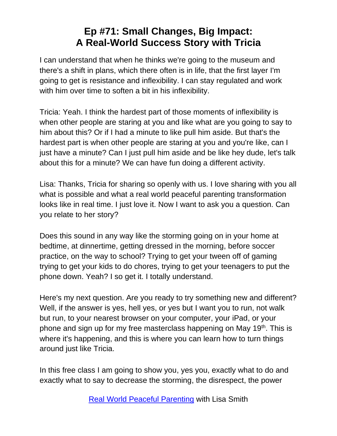I can understand that when he thinks we're going to the museum and there's a shift in plans, which there often is in life, that the first layer I'm going to get is resistance and inflexibility. I can stay regulated and work with him over time to soften a bit in his inflexibility.

Tricia: Yeah. I think the hardest part of those moments of inflexibility is when other people are staring at you and like what are you going to say to him about this? Or if I had a minute to like pull him aside. But that's the hardest part is when other people are staring at you and you're like, can I just have a minute? Can I just pull him aside and be like hey dude, let's talk about this for a minute? We can have fun doing a different activity.

Lisa: Thanks, Tricia for sharing so openly with us. I love sharing with you all what is possible and what a real world peaceful parenting transformation looks like in real time. I just love it. Now I want to ask you a question. Can you relate to her story?

Does this sound in any way like the storming going on in your home at bedtime, at dinnertime, getting dressed in the morning, before soccer practice, on the way to school? Trying to get your tween off of gaming trying to get your kids to do chores, trying to get your teenagers to put the phone down. Yeah? I so get it. I totally understand.

Here's my next question. Are you ready to try something new and different? Well, if the answer is yes, hell yes, or yes but I want you to run, not walk but run, to your nearest browser on your computer, your iPad, or your phone and sign up for my free masterclass happening on May 19<sup>th</sup>. This is where it's happening, and this is where you can learn how to turn things around just like Tricia.

In this free class I am going to show you, yes you, exactly what to do and exactly what to say to decrease the storming, the disrespect, the power

[Real World Peaceful Parenting](https://thepeacefulparent.com/podcast) with Lisa Smith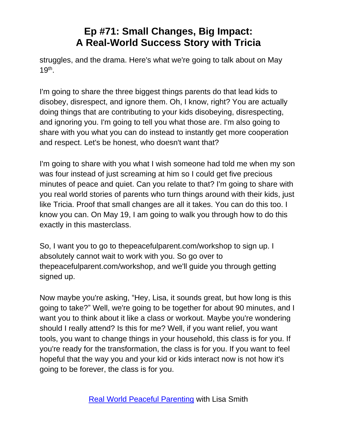struggles, and the drama. Here's what we're going to talk about on May  $19<sup>th</sup>$ .

I'm going to share the three biggest things parents do that lead kids to disobey, disrespect, and ignore them. Oh, I know, right? You are actually doing things that are contributing to your kids disobeying, disrespecting, and ignoring you. I'm going to tell you what those are. I'm also going to share with you what you can do instead to instantly get more cooperation and respect. Let's be honest, who doesn't want that?

I'm going to share with you what I wish someone had told me when my son was four instead of just screaming at him so I could get five precious minutes of peace and quiet. Can you relate to that? I'm going to share with you real world stories of parents who turn things around with their kids, just like Tricia. Proof that small changes are all it takes. You can do this too. I know you can. On May 19, I am going to walk you through how to do this exactly in this masterclass.

So, I want you to go to thepeacefulparent.com/workshop to sign up. I absolutely cannot wait to work with you. So go over to thepeacefulparent.com/workshop, and we'll guide you through getting signed up.

Now maybe you're asking, "Hey, Lisa, it sounds great, but how long is this going to take?" Well, we're going to be together for about 90 minutes, and I want you to think about it like a class or workout. Maybe you're wondering should I really attend? Is this for me? Well, if you want relief, you want tools, you want to change things in your household, this class is for you. If you're ready for the transformation, the class is for you. If you want to feel hopeful that the way you and your kid or kids interact now is not how it's going to be forever, the class is for you.